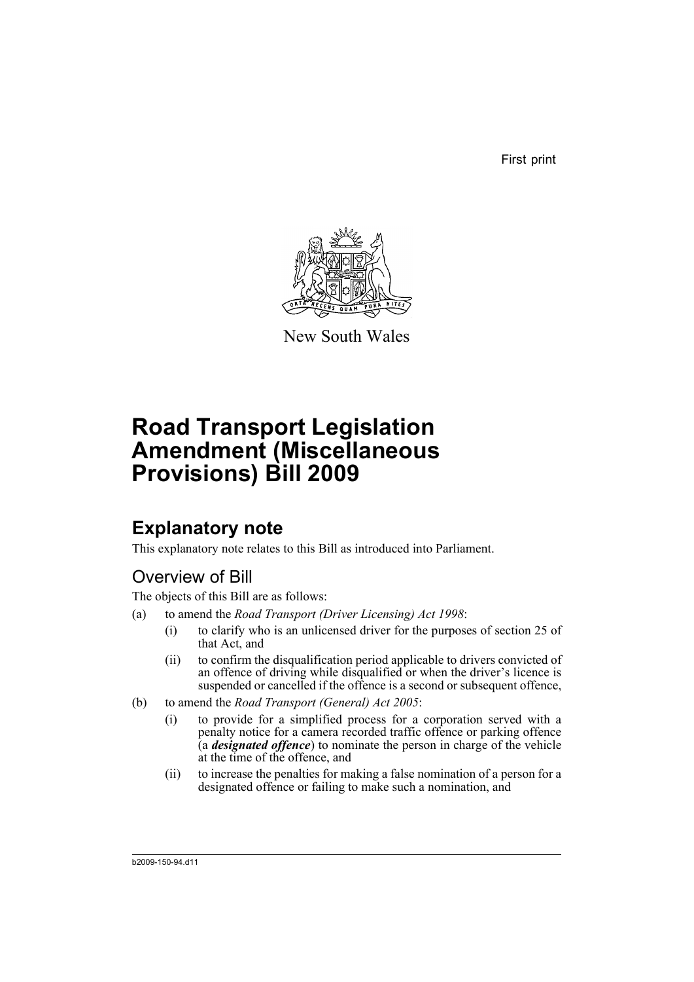First print



New South Wales

# **Road Transport Legislation Amendment (Miscellaneous Provisions) Bill 2009**

# **Explanatory note**

This explanatory note relates to this Bill as introduced into Parliament.

# Overview of Bill

The objects of this Bill are as follows:

- (a) to amend the *Road Transport (Driver Licensing) Act 1998*:
	- (i) to clarify who is an unlicensed driver for the purposes of section 25 of that Act, and
	- (ii) to confirm the disqualification period applicable to drivers convicted of an offence of driving while disqualified or when the driver's licence is suspended or cancelled if the offence is a second or subsequent offence,
- (b) to amend the *Road Transport (General) Act 2005*:
	- (i) to provide for a simplified process for a corporation served with a penalty notice for a camera recorded traffic offence or parking offence (a *designated offence*) to nominate the person in charge of the vehicle at the time of the offence, and
	- (ii) to increase the penalties for making a false nomination of a person for a designated offence or failing to make such a nomination, and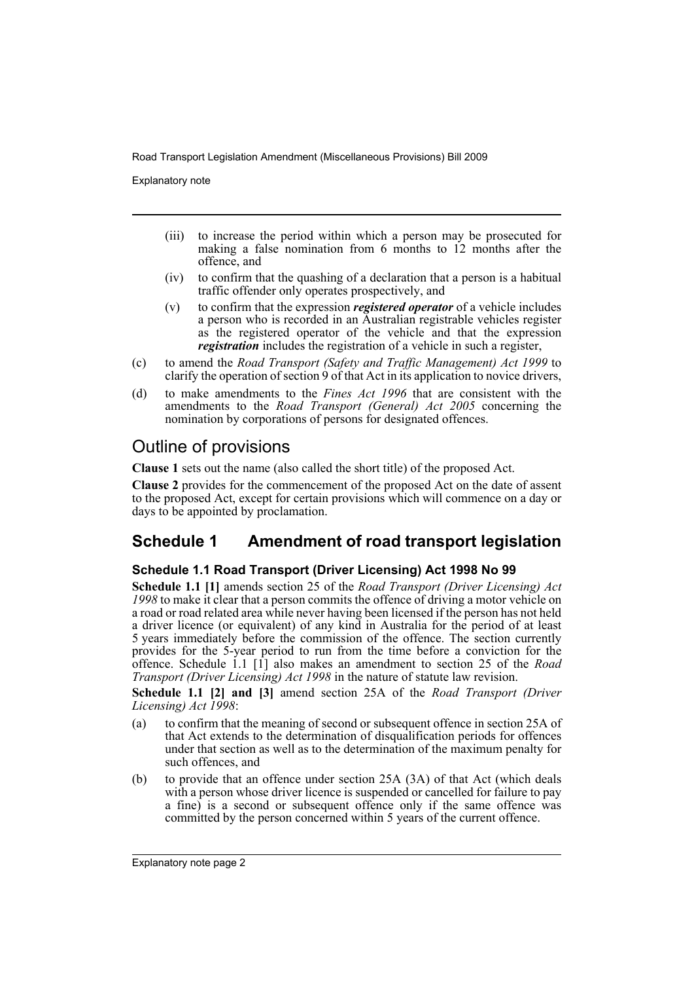Explanatory note

- (iii) to increase the period within which a person may be prosecuted for making a false nomination from 6 months to 12 months after the offence, and
- (iv) to confirm that the quashing of a declaration that a person is a habitual traffic offender only operates prospectively, and
- (v) to confirm that the expression *registered operator* of a vehicle includes a person who is recorded in an Australian registrable vehicles register as the registered operator of the vehicle and that the expression *registration* includes the registration of a vehicle in such a register,
- (c) to amend the *Road Transport (Safety and Traffic Management) Act 1999* to clarify the operation of section 9 of that Act in its application to novice drivers,
- (d) to make amendments to the *Fines Act 1996* that are consistent with the amendments to the *Road Transport (General) Act 2005* concerning the nomination by corporations of persons for designated offences.

# Outline of provisions

**Clause 1** sets out the name (also called the short title) of the proposed Act.

**Clause 2** provides for the commencement of the proposed Act on the date of assent to the proposed Act, except for certain provisions which will commence on a day or days to be appointed by proclamation.

# **Schedule 1 Amendment of road transport legislation**

## **Schedule 1.1 Road Transport (Driver Licensing) Act 1998 No 99**

**Schedule 1.1 [1]** amends section 25 of the *Road Transport (Driver Licensing) Act* 1998 to make it clear that a person commits the offence of driving a motor vehicle on a road or road related area while never having been licensed if the person has not held a driver licence (or equivalent) of any kind in Australia for the period of at least 5 years immediately before the commission of the offence. The section currently provides for the 5-year period to run from the time before a conviction for the offence. Schedule 1.1 [1] also makes an amendment to section 25 of the *Road Transport (Driver Licensing) Act 1998* in the nature of statute law revision.

**Schedule 1.1 [2] and [3]** amend section 25A of the *Road Transport (Driver Licensing) Act 1998*:

- (a) to confirm that the meaning of second or subsequent offence in section 25A of that Act extends to the determination of disqualification periods for offences under that section as well as to the determination of the maximum penalty for such offences, and
- (b) to provide that an offence under section 25A (3A) of that Act (which deals with a person whose driver licence is suspended or cancelled for failure to pay a fine) is a second or subsequent offence only if the same offence was committed by the person concerned within 5 years of the current offence.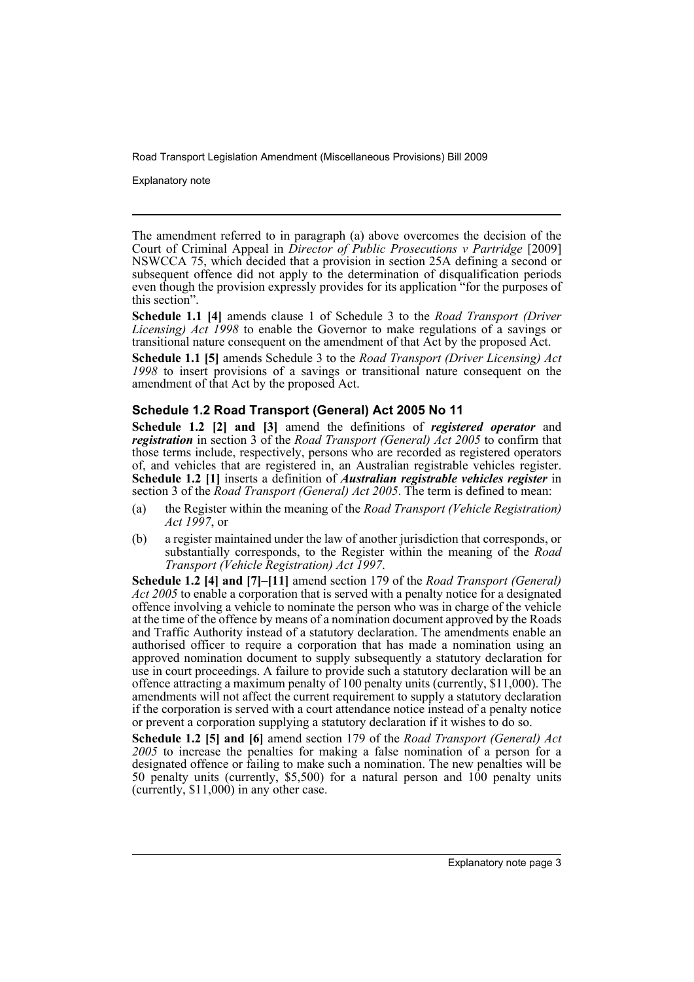Explanatory note

The amendment referred to in paragraph (a) above overcomes the decision of the Court of Criminal Appeal in *Director of Public Prosecutions v Partridge* [2009] NSWCCA 75, which decided that a provision in section 25A defining a second or subsequent offence did not apply to the determination of disqualification periods even though the provision expressly provides for its application "for the purposes of this section".

**Schedule 1.1 [4]** amends clause 1 of Schedule 3 to the *Road Transport (Driver Licensing) Act 1998* to enable the Governor to make regulations of a savings or transitional nature consequent on the amendment of that Act by the proposed Act.

**Schedule 1.1 [5]** amends Schedule 3 to the *Road Transport (Driver Licensing) Act 1998* to insert provisions of a savings or transitional nature consequent on the amendment of that Act by the proposed Act.

## **Schedule 1.2 Road Transport (General) Act 2005 No 11**

**Schedule 1.2 [2] and [3]** amend the definitions of *registered operator* and *registration* in section 3 of the *Road Transport (General) Act 2005* to confirm that those terms include, respectively, persons who are recorded as registered operators of, and vehicles that are registered in, an Australian registrable vehicles register. **Schedule 1.2 [1]** inserts a definition of *Australian registrable vehicles register* in section 3 of the *Road Transport (General) Act 2005*. The term is defined to mean:

- (a) the Register within the meaning of the *Road Transport (Vehicle Registration) Act 1997*, or
- (b) a register maintained under the law of another jurisdiction that corresponds, or substantially corresponds, to the Register within the meaning of the *Road Transport (Vehicle Registration) Act 1997*.

**Schedule 1.2 [4] and [7]–[11]** amend section 179 of the *Road Transport (General) Act 2005* to enable a corporation that is served with a penalty notice for a designated offence involving a vehicle to nominate the person who was in charge of the vehicle at the time of the offence by means of a nomination document approved by the Roads and Traffic Authority instead of a statutory declaration. The amendments enable an authorised officer to require a corporation that has made a nomination using an approved nomination document to supply subsequently a statutory declaration for use in court proceedings. A failure to provide such a statutory declaration will be an offence attracting a maximum penalty of 100 penalty units (currently, \$11,000). The amendments will not affect the current requirement to supply a statutory declaration if the corporation is served with a court attendance notice instead of a penalty notice or prevent a corporation supplying a statutory declaration if it wishes to do so.

**Schedule 1.2 [5] and [6]** amend section 179 of the *Road Transport (General) Act 2005* to increase the penalties for making a false nomination of a person for a designated offence or failing to make such a nomination. The new penalties will be 50 penalty units (currently, \$5,500) for a natural person and 100 penalty units (currently, \$11,000) in any other case.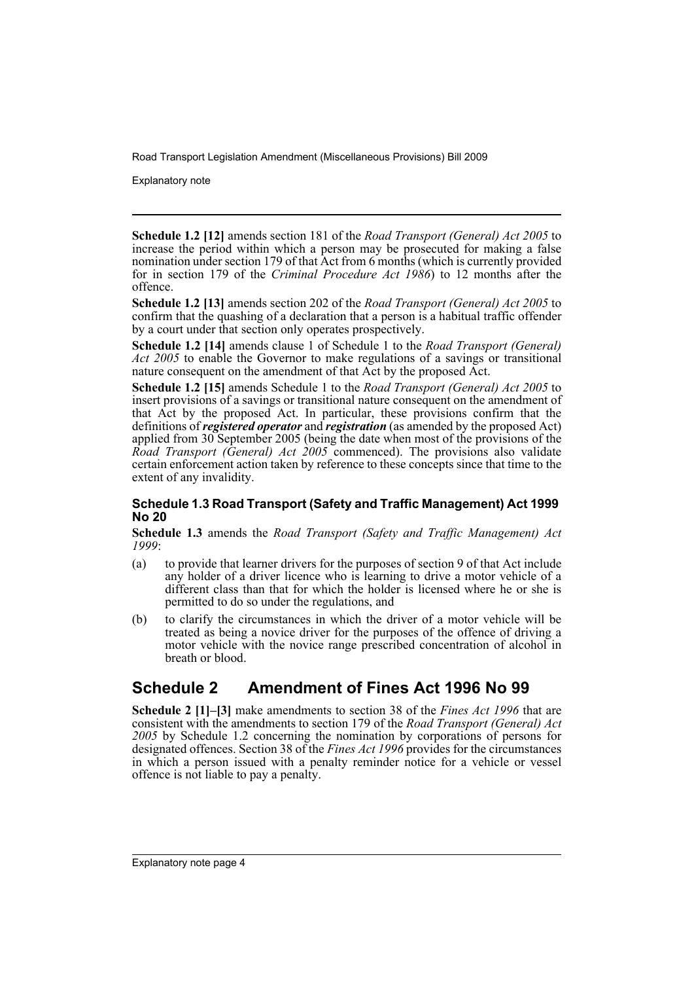Explanatory note

**Schedule 1.2 [12]** amends section 181 of the *Road Transport (General) Act 2005* to increase the period within which a person may be prosecuted for making a false nomination under section 179 of that Act from 6 months (which is currently provided for in section 179 of the *Criminal Procedure Act 1986*) to 12 months after the offence.

**Schedule 1.2 [13]** amends section 202 of the *Road Transport (General) Act 2005* to confirm that the quashing of a declaration that a person is a habitual traffic offender by a court under that section only operates prospectively.

**Schedule 1.2 [14]** amends clause 1 of Schedule 1 to the *Road Transport (General)* Act 2005 to enable the Governor to make regulations of a savings or transitional nature consequent on the amendment of that Act by the proposed Act.

**Schedule 1.2 [15]** amends Schedule 1 to the *Road Transport (General) Act 2005* to insert provisions of a savings or transitional nature consequent on the amendment of that Act by the proposed Act. In particular, these provisions confirm that the definitions of *registered operator* and *registration* (as amended by the proposed Act) applied from 30 September 2005 (being the date when most of the provisions of the *Road Transport (General) Act 2005* commenced). The provisions also validate certain enforcement action taken by reference to these concepts since that time to the extent of any invalidity.

## **Schedule 1.3 Road Transport (Safety and Traffic Management) Act 1999 No 20**

**Schedule 1.3** amends the *Road Transport (Safety and Traffic Management) Act 1999*:

- (a) to provide that learner drivers for the purposes of section 9 of that Act include any holder of a driver licence who is learning to drive a motor vehicle of a different class than that for which the holder is licensed where he or she is permitted to do so under the regulations, and
- (b) to clarify the circumstances in which the driver of a motor vehicle will be treated as being a novice driver for the purposes of the offence of driving a motor vehicle with the novice range prescribed concentration of alcohol in breath or blood.

# **Schedule 2 Amendment of Fines Act 1996 No 99**

**Schedule 2 [1]–[3]** make amendments to section 38 of the *Fines Act 1996* that are consistent with the amendments to section 179 of the *Road Transport (General) Act 2005* by Schedule 1.2 concerning the nomination by corporations of persons for designated offences. Section 38 of the *Fines Act 1996* provides for the circumstances in which a person issued with a penalty reminder notice for a vehicle or vessel offence is not liable to pay a penalty.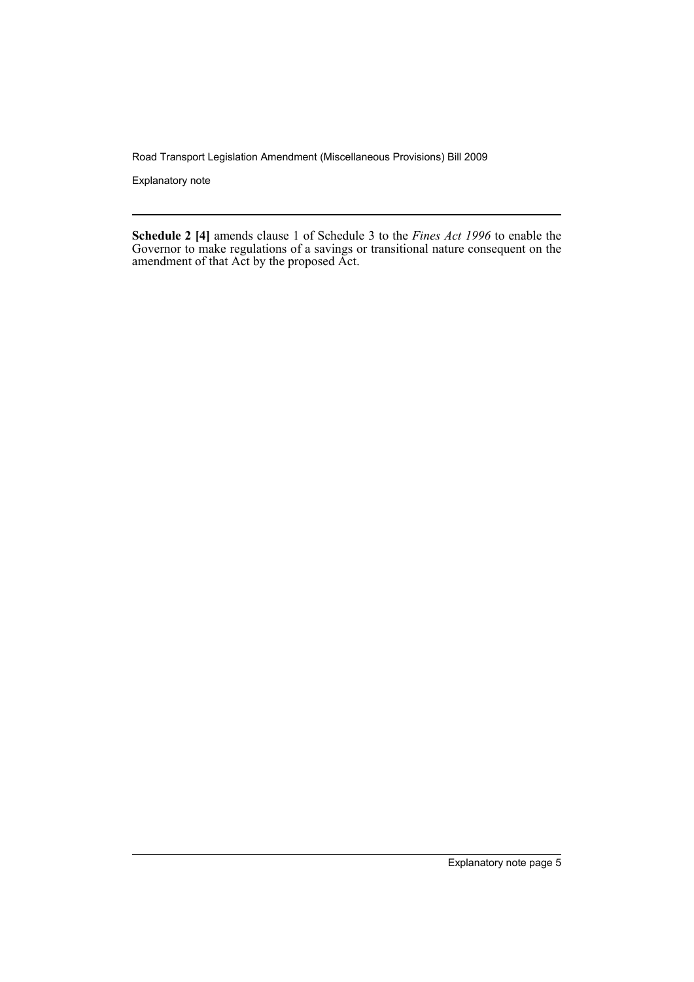Explanatory note

**Schedule 2 [4]** amends clause 1 of Schedule 3 to the *Fines Act 1996* to enable the Governor to make regulations of a savings or transitional nature consequent on the amendment of that Act by the proposed Act.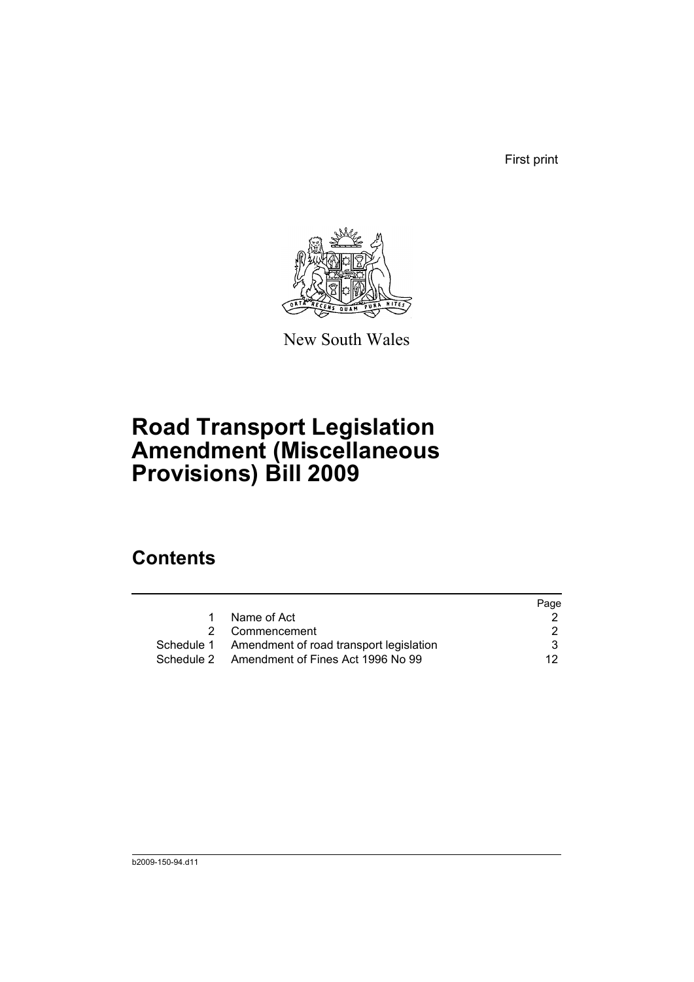First print



New South Wales

# **Road Transport Legislation Amendment (Miscellaneous Provisions) Bill 2009**

# **Contents**

|   |                                                    | Page |
|---|----------------------------------------------------|------|
| 1 | Name of Act                                        |      |
|   | 2 Commencement                                     | 2    |
|   | Schedule 1 Amendment of road transport legislation | 3    |
|   | Schedule 2 Amendment of Fines Act 1996 No 99       | 12.  |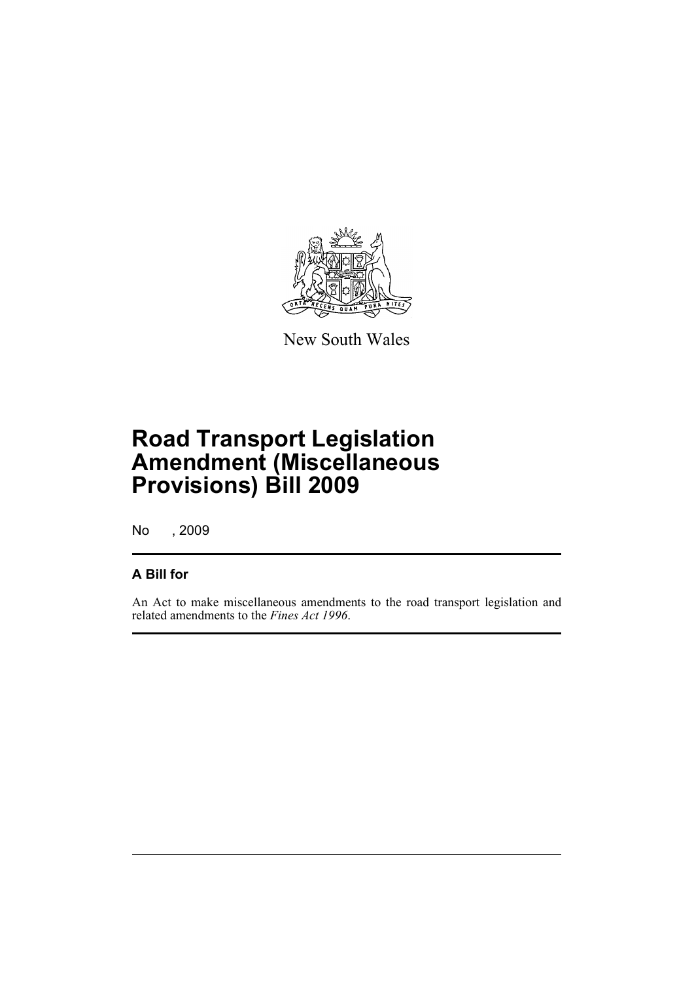

New South Wales

# **Road Transport Legislation Amendment (Miscellaneous Provisions) Bill 2009**

No , 2009

# **A Bill for**

An Act to make miscellaneous amendments to the road transport legislation and related amendments to the *Fines Act 1996*.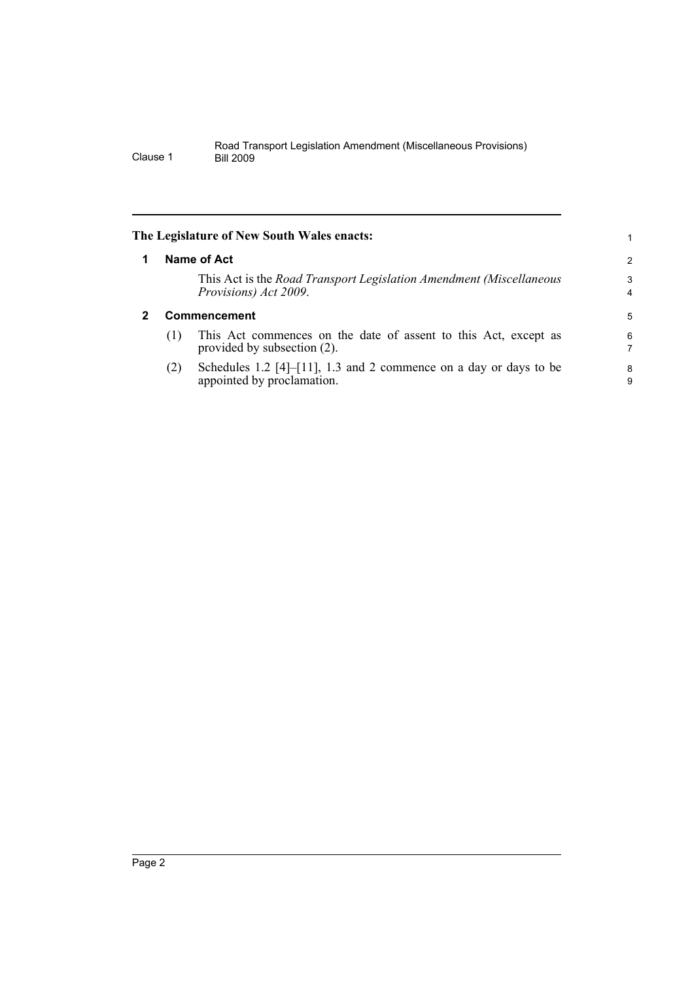<span id="page-9-1"></span><span id="page-9-0"></span>

|   |                     | The Legislature of New South Wales enacts:                                                      |                     |
|---|---------------------|-------------------------------------------------------------------------------------------------|---------------------|
| 1 |                     | Name of Act                                                                                     | 2                   |
|   |                     | This Act is the Road Transport Legislation Amendment (Miscellaneous<br>Provisions) Act 2009.    | 3<br>$\overline{4}$ |
| 2 | <b>Commencement</b> |                                                                                                 |                     |
|   | (1)                 | This Act commences on the date of assent to this Act, except as<br>provided by subsection (2).  | 6<br>7              |
|   | (2)                 | Schedules 1.2 [4]-[11], 1.3 and 2 commence on a day or days to be<br>appointed by proclamation. | 8<br>9              |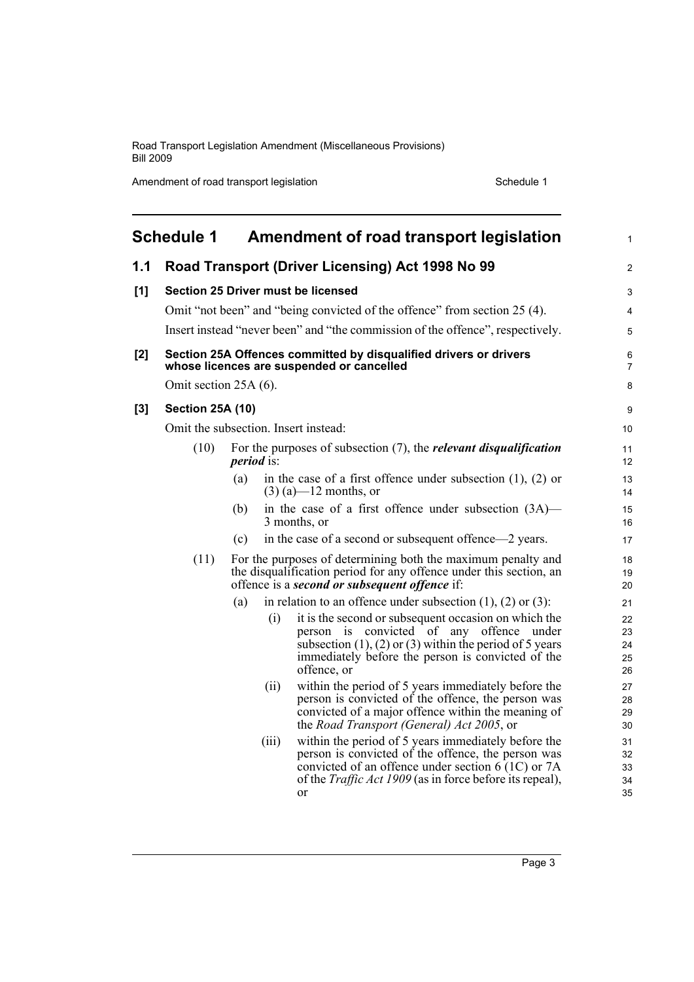Amendment of road transport legislation Schedule 1

<span id="page-10-0"></span>

|       | <b>Schedule 1</b>       |                   | Amendment of road transport legislation                                                                                                                                                                                                   | $\mathbf{1}$               |
|-------|-------------------------|-------------------|-------------------------------------------------------------------------------------------------------------------------------------------------------------------------------------------------------------------------------------------|----------------------------|
| 1.1   |                         |                   | Road Transport (Driver Licensing) Act 1998 No 99                                                                                                                                                                                          | 2                          |
| [1]   |                         |                   | <b>Section 25 Driver must be licensed</b>                                                                                                                                                                                                 | 3                          |
|       |                         |                   | Omit "not been" and "being convicted of the offence" from section 25 (4).                                                                                                                                                                 | 4                          |
|       |                         |                   | Insert instead "never been" and "the commission of the offence", respectively.                                                                                                                                                            | 5                          |
| [2]   |                         |                   | Section 25A Offences committed by disqualified drivers or drivers<br>whose licences are suspended or cancelled                                                                                                                            | 6<br>$\overline{7}$        |
|       | Omit section 25A (6).   |                   |                                                                                                                                                                                                                                           | 8                          |
| $[3]$ | <b>Section 25A (10)</b> |                   |                                                                                                                                                                                                                                           | 9                          |
|       |                         |                   | Omit the subsection. Insert instead:                                                                                                                                                                                                      | 10                         |
|       | (10)                    | <i>period</i> is: | For the purposes of subsection $(7)$ , the <i>relevant disqualification</i>                                                                                                                                                               | 11<br>12                   |
|       |                         | (a)               | in the case of a first offence under subsection $(1)$ , $(2)$ or<br>$(3)$ (a)—12 months, or                                                                                                                                               | 13<br>14                   |
|       |                         | (b)               | in the case of a first offence under subsection (3A)—<br>3 months, or                                                                                                                                                                     | 15<br>16                   |
|       |                         | (c)               | in the case of a second or subsequent offence—2 years.                                                                                                                                                                                    | 17                         |
|       | (11)                    |                   | For the purposes of determining both the maximum penalty and<br>the disqualification period for any offence under this section, an<br>offence is a second or subsequent offence if:                                                       | 18<br>19<br>20             |
|       |                         | (a)               | in relation to an offence under subsection $(1)$ , $(2)$ or $(3)$ :                                                                                                                                                                       | 21                         |
|       |                         | (i)               | it is the second or subsequent occasion on which the<br>person is convicted of any offence<br>under<br>subsection $(1)$ , $(2)$ or $(3)$ within the period of 5 years<br>immediately before the person is convicted of the<br>offence, or | 22<br>23<br>24<br>25<br>26 |
|       |                         | (ii)              | within the period of 5 years immediately before the<br>person is convicted of the offence, the person was<br>convicted of a major offence within the meaning of<br>the Road Transport (General) Act 2005, or                              | 27<br>28<br>29<br>30       |
|       |                         | (111)             | within the period of 5 years immediately before the<br>person is convicted of the offence, the person was<br>convicted of an offence under section 6 (1C) or 7A<br>of the <i>Traffic Act 1909</i> (as in force before its repeal),<br>or  | 31<br>32<br>33<br>34<br>35 |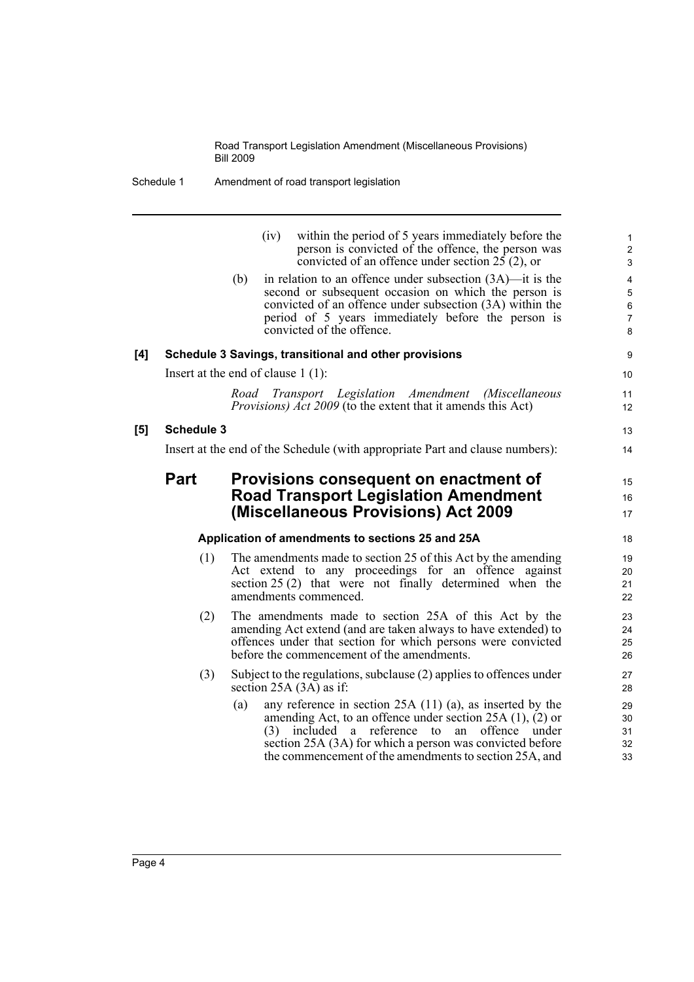Schedule 1 Amendment of road transport legislation

|     |                                                                               | (iv)<br>within the period of 5 years immediately before the<br>person is convicted of the offence, the person was<br>convicted of an offence under section $25(2)$ , or                                                                                                    | 1<br>$\boldsymbol{2}$<br>3                                         |  |
|-----|-------------------------------------------------------------------------------|----------------------------------------------------------------------------------------------------------------------------------------------------------------------------------------------------------------------------------------------------------------------------|--------------------------------------------------------------------|--|
|     |                                                                               | in relation to an offence under subsection $(3A)$ —it is the<br>(b)<br>second or subsequent occasion on which the person is<br>convicted of an offence under subsection (3A) within the<br>period of 5 years immediately before the person is<br>convicted of the offence. | $\overline{4}$<br>$\overline{5}$<br>$\,6\,$<br>$\overline{7}$<br>8 |  |
| [4] |                                                                               | Schedule 3 Savings, transitional and other provisions                                                                                                                                                                                                                      | 9                                                                  |  |
|     |                                                                               | Insert at the end of clause $1(1)$ :                                                                                                                                                                                                                                       | 10                                                                 |  |
|     |                                                                               | Road Transport Legislation Amendment (Miscellaneous<br><i>Provisions) Act 2009</i> (to the extent that it amends this Act)                                                                                                                                                 | 11<br>12                                                           |  |
| [5] | <b>Schedule 3</b>                                                             |                                                                                                                                                                                                                                                                            | 13                                                                 |  |
|     | Insert at the end of the Schedule (with appropriate Part and clause numbers): |                                                                                                                                                                                                                                                                            |                                                                    |  |
|     | <b>Part</b>                                                                   | Provisions consequent on enactment of                                                                                                                                                                                                                                      | 15                                                                 |  |
|     |                                                                               | <b>Road Transport Legislation Amendment</b>                                                                                                                                                                                                                                | 16                                                                 |  |
|     |                                                                               | (Miscellaneous Provisions) Act 2009                                                                                                                                                                                                                                        | 17                                                                 |  |
|     |                                                                               | Application of amendments to sections 25 and 25A                                                                                                                                                                                                                           | 18                                                                 |  |
|     | (1)                                                                           | The amendments made to section 25 of this Act by the amending<br>Act extend to any proceedings for an offence against<br>section 25 (2) that were not finally determined when the<br>amendments commenced.                                                                 | 19<br>20<br>21<br>22                                               |  |
|     | (2)                                                                           | The amendments made to section 25A of this Act by the<br>amending Act extend (and are taken always to have extended) to<br>offences under that section for which persons were convicted<br>before the commencement of the amendments.                                      | 23<br>24<br>25<br>26                                               |  |
|     | (3)                                                                           | Subject to the regulations, subclause (2) applies to offences under<br>section $25A(3A)$ as if:                                                                                                                                                                            | 27<br>28                                                           |  |
|     |                                                                               | any reference in section $25A(11)(a)$ , as inserted by the<br>(a)<br>amending Act, to an offence under section $25A(1)$ , (2) or<br>offence<br>included<br>reference<br>under<br>a<br>to<br>an<br>(3)<br>section 25A (3A) for which a person was convicted before          | 29<br>30<br>31<br>32                                               |  |

the commencement of the amendments to section 25A, and

33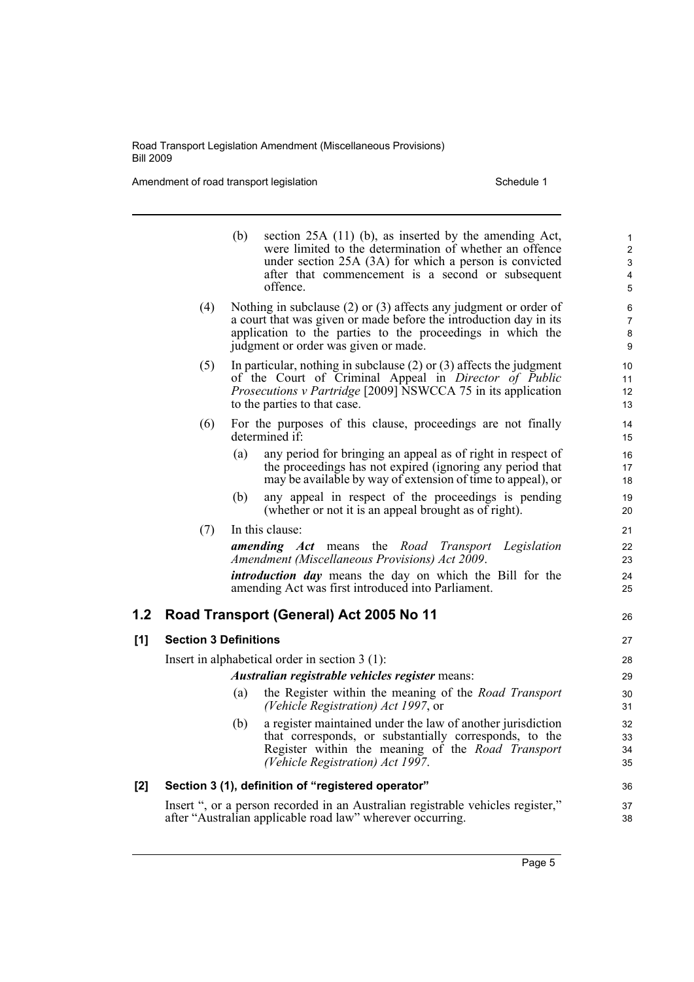Amendment of road transport legislation Schedule 1

|     |                                                 | (b) | section 25A (11) (b), as inserted by the amending Act,<br>were limited to the determination of whether an offence<br>under section 25A (3A) for which a person is convicted<br>after that commencement is a second or subsequent<br>offence.    | $\mathbf{1}$<br>$\overline{c}$<br>3<br>4<br>5 |  |  |
|-----|-------------------------------------------------|-----|-------------------------------------------------------------------------------------------------------------------------------------------------------------------------------------------------------------------------------------------------|-----------------------------------------------|--|--|
|     | (4)                                             |     | Nothing in subclause $(2)$ or $(3)$ affects any judgment or order of<br>a court that was given or made before the introduction day in its<br>application to the parties to the proceedings in which the<br>judgment or order was given or made. | 6<br>$\overline{7}$<br>8<br>9                 |  |  |
|     | (5)                                             |     | In particular, nothing in subclause $(2)$ or $(3)$ affects the judgment<br>of the Court of Criminal Appeal in Director of Public<br>Prosecutions v Partridge [2009] NSWCCA 75 in its application<br>to the parties to that case.                | 10<br>11<br>12<br>13                          |  |  |
|     | (6)                                             |     | For the purposes of this clause, proceedings are not finally<br>determined if:                                                                                                                                                                  | 14<br>15                                      |  |  |
|     |                                                 | (a) | any period for bringing an appeal as of right in respect of<br>the proceedings has not expired (ignoring any period that<br>may be available by way of extension of time to appeal), or                                                         | 16<br>17<br>18                                |  |  |
|     |                                                 | (b) | any appeal in respect of the proceedings is pending<br>(whether or not it is an appeal brought as of right).                                                                                                                                    | 19<br>20                                      |  |  |
|     | (7)                                             |     | In this clause:                                                                                                                                                                                                                                 | 21                                            |  |  |
|     |                                                 |     | <b>amending</b> Act means the Road Transport<br>Legislation<br>Amendment (Miscellaneous Provisions) Act 2009.                                                                                                                                   | 22<br>23                                      |  |  |
|     |                                                 |     | <i>introduction day</i> means the day on which the Bill for the<br>amending Act was first introduced into Parliament.                                                                                                                           | 24<br>25                                      |  |  |
| 1.2 |                                                 |     | Road Transport (General) Act 2005 No 11                                                                                                                                                                                                         | 26                                            |  |  |
| [1] | <b>Section 3 Definitions</b>                    |     |                                                                                                                                                                                                                                                 | 27                                            |  |  |
|     |                                                 |     | Insert in alphabetical order in section $3(1)$ :                                                                                                                                                                                                | 28                                            |  |  |
|     | Australian registrable vehicles register means: |     |                                                                                                                                                                                                                                                 |                                               |  |  |
|     |                                                 | (a) | the Register within the meaning of the Road Transport<br>(Vehicle Registration) Act 1997, or                                                                                                                                                    | 30<br>31                                      |  |  |
|     |                                                 | (b) | a register maintained under the law of another jurisdiction<br>that corresponds, or substantially corresponds, to the<br>Register within the meaning of the Road Transport<br>(Vehicle Registration) Act 1997.                                  | 32<br>33<br>34<br>35                          |  |  |
| [2] |                                                 |     | Section 3 (1), definition of "registered operator"                                                                                                                                                                                              | 36                                            |  |  |
|     |                                                 |     | Insert ", or a person recorded in an Australian registrable vehicles register,"<br>after "Australian applicable road law" wherever occurring.                                                                                                   | 37<br>38                                      |  |  |
|     |                                                 |     |                                                                                                                                                                                                                                                 |                                               |  |  |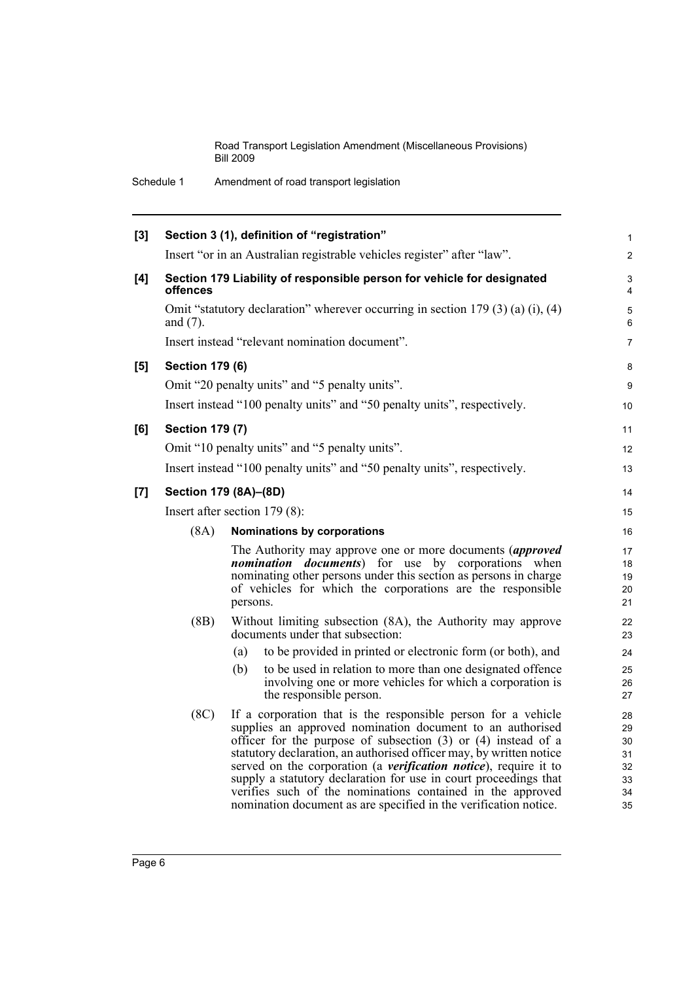Schedule 1 Amendment of road transport legislation

| [3] |                        | Section 3 (1), definition of "registration"                                                                                                                                                                                                                                                                                                                                                                                                                                                                                                          | $\mathbf{1}$                                 |
|-----|------------------------|------------------------------------------------------------------------------------------------------------------------------------------------------------------------------------------------------------------------------------------------------------------------------------------------------------------------------------------------------------------------------------------------------------------------------------------------------------------------------------------------------------------------------------------------------|----------------------------------------------|
|     |                        | Insert "or in an Australian registrable vehicles register" after "law".                                                                                                                                                                                                                                                                                                                                                                                                                                                                              | $\overline{2}$                               |
| [4] | offences               | Section 179 Liability of responsible person for vehicle for designated                                                                                                                                                                                                                                                                                                                                                                                                                                                                               | 3<br>4                                       |
|     | and $(7)$ .            | Omit "statutory declaration" wherever occurring in section 179 (3) (a) (i), (4)                                                                                                                                                                                                                                                                                                                                                                                                                                                                      | 5<br>6                                       |
|     |                        | Insert instead "relevant nomination document".                                                                                                                                                                                                                                                                                                                                                                                                                                                                                                       | $\overline{7}$                               |
| [5] | <b>Section 179 (6)</b> |                                                                                                                                                                                                                                                                                                                                                                                                                                                                                                                                                      | 8                                            |
|     |                        | Omit "20 penalty units" and "5 penalty units".                                                                                                                                                                                                                                                                                                                                                                                                                                                                                                       | 9                                            |
|     |                        | Insert instead "100 penalty units" and "50 penalty units", respectively.                                                                                                                                                                                                                                                                                                                                                                                                                                                                             | 10                                           |
| [6] | <b>Section 179 (7)</b> |                                                                                                                                                                                                                                                                                                                                                                                                                                                                                                                                                      | 11                                           |
|     |                        | Omit "10 penalty units" and "5 penalty units".                                                                                                                                                                                                                                                                                                                                                                                                                                                                                                       | 12                                           |
|     |                        | Insert instead "100 penalty units" and "50 penalty units", respectively.                                                                                                                                                                                                                                                                                                                                                                                                                                                                             | 13                                           |
| [7] |                        | Section 179 (8A)-(8D)                                                                                                                                                                                                                                                                                                                                                                                                                                                                                                                                | 14                                           |
|     |                        | Insert after section 179 (8):                                                                                                                                                                                                                                                                                                                                                                                                                                                                                                                        | 15                                           |
|     | (8A)                   | Nominations by corporations                                                                                                                                                                                                                                                                                                                                                                                                                                                                                                                          | 16                                           |
|     |                        | The Authority may approve one or more documents (approved<br><i>nomination documents</i> ) for use by corporations when<br>nominating other persons under this section as persons in charge<br>of vehicles for which the corporations are the responsible<br>persons.                                                                                                                                                                                                                                                                                | 17<br>18<br>19<br>20<br>21                   |
|     | (BB)                   | Without limiting subsection (8A), the Authority may approve<br>documents under that subsection:                                                                                                                                                                                                                                                                                                                                                                                                                                                      | 22<br>23                                     |
|     |                        | to be provided in printed or electronic form (or both), and<br>(a)                                                                                                                                                                                                                                                                                                                                                                                                                                                                                   | 24                                           |
|     |                        | to be used in relation to more than one designated offence<br>(b)<br>involving one or more vehicles for which a corporation is<br>the responsible person.                                                                                                                                                                                                                                                                                                                                                                                            | 25<br>26<br>27                               |
|     | (8C)                   | If a corporation that is the responsible person for a vehicle<br>supplies an approved nomination document to an authorised<br>officer for the purpose of subsection (3) or (4) instead of a<br>statutory declaration, an authorised officer may, by written notice<br>served on the corporation (a <i>verification notice</i> ), require it to<br>supply a statutory declaration for use in court proceedings that<br>verifies such of the nominations contained in the approved<br>nomination document as are specified in the verification notice. | 28<br>29<br>30<br>31<br>32<br>33<br>34<br>35 |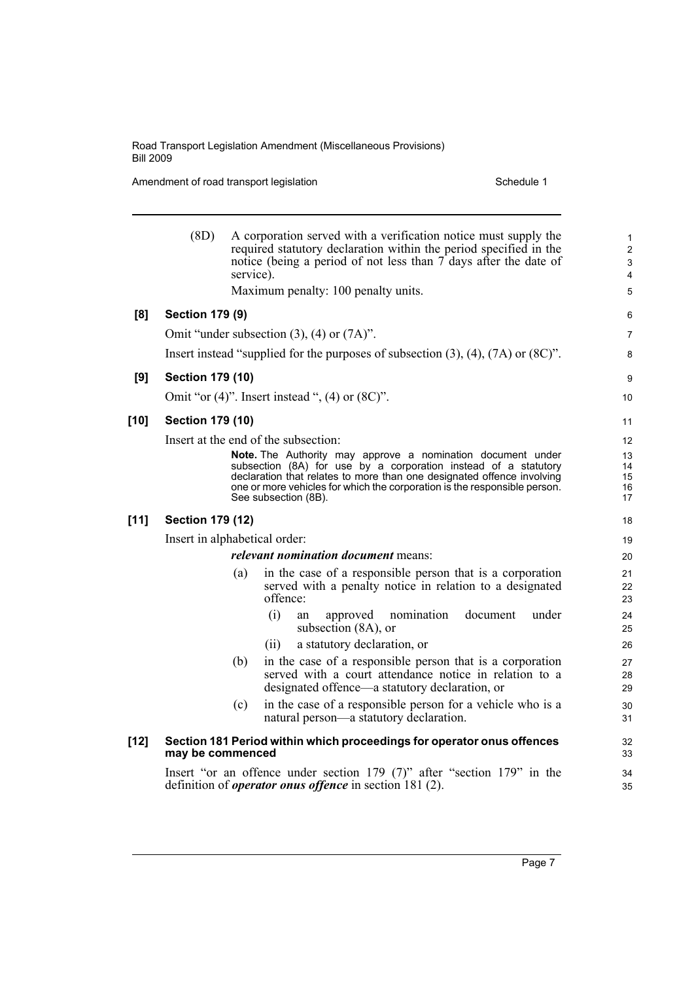Amendment of road transport legislation Schedule 1

|        | (8D)                          | service). | A corporation served with a verification notice must supply the<br>required statutory declaration within the period specified in the<br>notice (being a period of not less than 7 days after the date of<br>Maximum penalty: 100 penalty units.                                                                                                       | $\mathbf{1}$<br>$\overline{2}$<br>$\ensuremath{\mathsf{3}}$<br>$\overline{4}$<br>5 |
|--------|-------------------------------|-----------|-------------------------------------------------------------------------------------------------------------------------------------------------------------------------------------------------------------------------------------------------------------------------------------------------------------------------------------------------------|------------------------------------------------------------------------------------|
| [8]    | <b>Section 179 (9)</b>        |           |                                                                                                                                                                                                                                                                                                                                                       | 6                                                                                  |
|        |                               |           | Omit "under subsection $(3)$ , $(4)$ or $(7A)$ ".                                                                                                                                                                                                                                                                                                     | $\overline{7}$                                                                     |
|        |                               |           | Insert instead "supplied for the purposes of subsection $(3)$ , $(4)$ , $(7A)$ or $(8C)$ ".                                                                                                                                                                                                                                                           | 8                                                                                  |
| [9]    | <b>Section 179 (10)</b>       |           |                                                                                                                                                                                                                                                                                                                                                       | 9                                                                                  |
|        |                               |           | Omit "or $(4)$ ". Insert instead ", $(4)$ or $(8C)$ ".                                                                                                                                                                                                                                                                                                | 10                                                                                 |
| $[10]$ | <b>Section 179 (10)</b>       |           |                                                                                                                                                                                                                                                                                                                                                       | 11                                                                                 |
|        |                               |           |                                                                                                                                                                                                                                                                                                                                                       |                                                                                    |
|        |                               |           | Insert at the end of the subsection:<br>Note. The Authority may approve a nomination document under<br>subsection (8A) for use by a corporation instead of a statutory<br>declaration that relates to more than one designated offence involving<br>one or more vehicles for which the corporation is the responsible person.<br>See subsection (8B). | 12<br>13<br>14<br>15<br>16<br>17                                                   |
| $[11]$ | <b>Section 179 (12)</b>       |           |                                                                                                                                                                                                                                                                                                                                                       | 18                                                                                 |
|        | Insert in alphabetical order: |           |                                                                                                                                                                                                                                                                                                                                                       | 19                                                                                 |
|        |                               |           | <i>relevant nomination document</i> means:                                                                                                                                                                                                                                                                                                            | 20                                                                                 |
|        |                               | (a)       | in the case of a responsible person that is a corporation<br>served with a penalty notice in relation to a designated<br>offence:                                                                                                                                                                                                                     | 21<br>22<br>23                                                                     |
|        |                               |           | (i)<br>nomination<br>document<br>under<br>approved<br>an<br>subsection (8A), or                                                                                                                                                                                                                                                                       | 24<br>25                                                                           |
|        |                               |           | a statutory declaration, or<br>(11)                                                                                                                                                                                                                                                                                                                   | 26                                                                                 |
|        |                               | (b)       | in the case of a responsible person that is a corporation<br>served with a court attendance notice in relation to a<br>designated offence—a statutory declaration, or                                                                                                                                                                                 | 27<br>28<br>29                                                                     |
|        |                               | (c)       | in the case of a responsible person for a vehicle who is a<br>natural person—a statutory declaration.                                                                                                                                                                                                                                                 | 30<br>31                                                                           |
| $[12]$ | may be commenced              |           | Section 181 Period within which proceedings for operator onus offences                                                                                                                                                                                                                                                                                | 32<br>33                                                                           |
|        |                               |           | Insert "or an offence under section 179 (7)" after "section 179" in the<br>definition of <i>operator onus offence</i> in section 181 (2).                                                                                                                                                                                                             | 34<br>35                                                                           |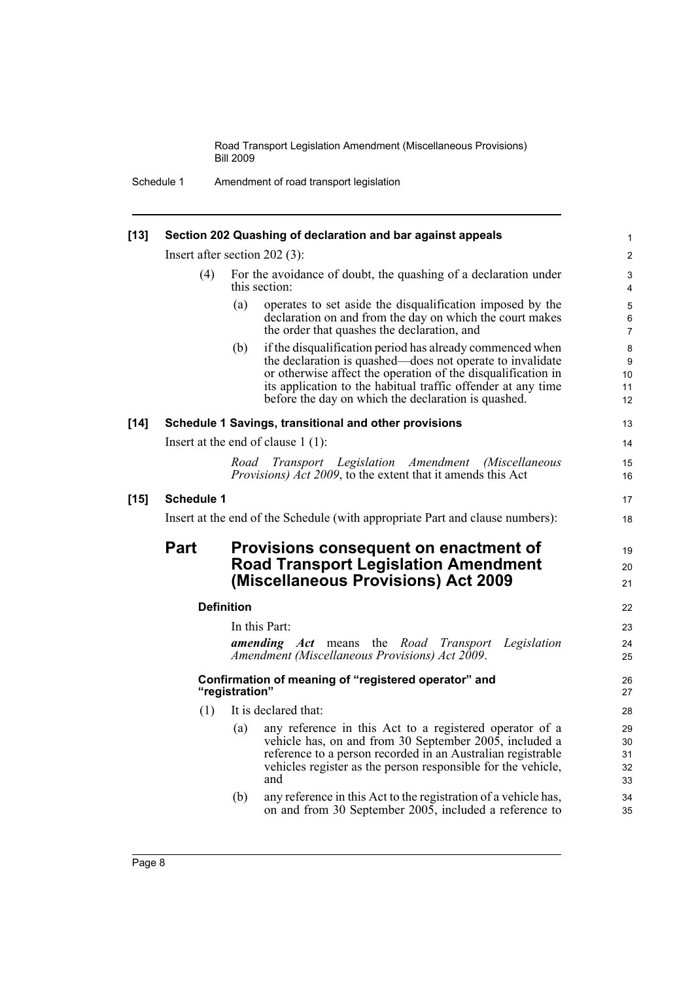Schedule 1 Amendment of road transport legislation

| $[13]$ | Section 202 Quashing of declaration and bar against appeals                   |                   |                                                                                                                                                                                                                                                                                                               |                            |  |
|--------|-------------------------------------------------------------------------------|-------------------|---------------------------------------------------------------------------------------------------------------------------------------------------------------------------------------------------------------------------------------------------------------------------------------------------------------|----------------------------|--|
|        | Insert after section 202 (3):                                                 |                   |                                                                                                                                                                                                                                                                                                               |                            |  |
|        | (4)                                                                           |                   | For the avoidance of doubt, the quashing of a declaration under<br>this section:                                                                                                                                                                                                                              | 3<br>$\overline{4}$        |  |
|        |                                                                               | (a)               | operates to set aside the disqualification imposed by the<br>declaration on and from the day on which the court makes<br>the order that quashes the declaration, and                                                                                                                                          | 5<br>$\,6\,$<br>7          |  |
|        |                                                                               | (b)               | if the disqualification period has already commenced when<br>the declaration is quashed—does not operate to invalidate<br>or otherwise affect the operation of the disqualification in<br>its application to the habitual traffic offender at any time<br>before the day on which the declaration is quashed. | 8<br>9<br>10<br>11<br>12   |  |
| $[14]$ |                                                                               |                   | Schedule 1 Savings, transitional and other provisions                                                                                                                                                                                                                                                         | 13                         |  |
|        |                                                                               |                   | Insert at the end of clause $1(1)$ :                                                                                                                                                                                                                                                                          | 14                         |  |
|        |                                                                               |                   | Road Transport Legislation Amendment (Miscellaneous<br><i>Provisions) Act 2009</i> , to the extent that it amends this Act                                                                                                                                                                                    | 15<br>16                   |  |
| $[15]$ | <b>Schedule 1</b>                                                             |                   |                                                                                                                                                                                                                                                                                                               | 17                         |  |
|        | Insert at the end of the Schedule (with appropriate Part and clause numbers): |                   |                                                                                                                                                                                                                                                                                                               |                            |  |
|        | <b>Part</b><br>Provisions consequent on enactment of                          |                   |                                                                                                                                                                                                                                                                                                               |                            |  |
|        |                                                                               |                   | <b>Road Transport Legislation Amendment</b><br>(Miscellaneous Provisions) Act 2009                                                                                                                                                                                                                            | 20<br>21                   |  |
|        |                                                                               | <b>Definition</b> |                                                                                                                                                                                                                                                                                                               | 22                         |  |
|        |                                                                               |                   | In this Part:                                                                                                                                                                                                                                                                                                 | 23                         |  |
|        |                                                                               |                   | <b>amending</b> Act means the Road Transport<br>Legislation<br>Amendment (Miscellaneous Provisions) Act 2009.                                                                                                                                                                                                 | 24<br>25                   |  |
|        | Confirmation of meaning of "registered operator" and<br>"registration"        |                   |                                                                                                                                                                                                                                                                                                               |                            |  |
|        | (1)                                                                           |                   | It is declared that:                                                                                                                                                                                                                                                                                          | 28                         |  |
|        |                                                                               | (a)               | any reference in this Act to a registered operator of a<br>vehicle has, on and from 30 September 2005, included a<br>reference to a person recorded in an Australian registrable<br>vehicles register as the person responsible for the vehicle,<br>and                                                       | 29<br>30<br>31<br>32<br>33 |  |
|        |                                                                               | (b)               | any reference in this Act to the registration of a vehicle has,<br>on and from 30 September 2005, included a reference to                                                                                                                                                                                     | 34<br>35                   |  |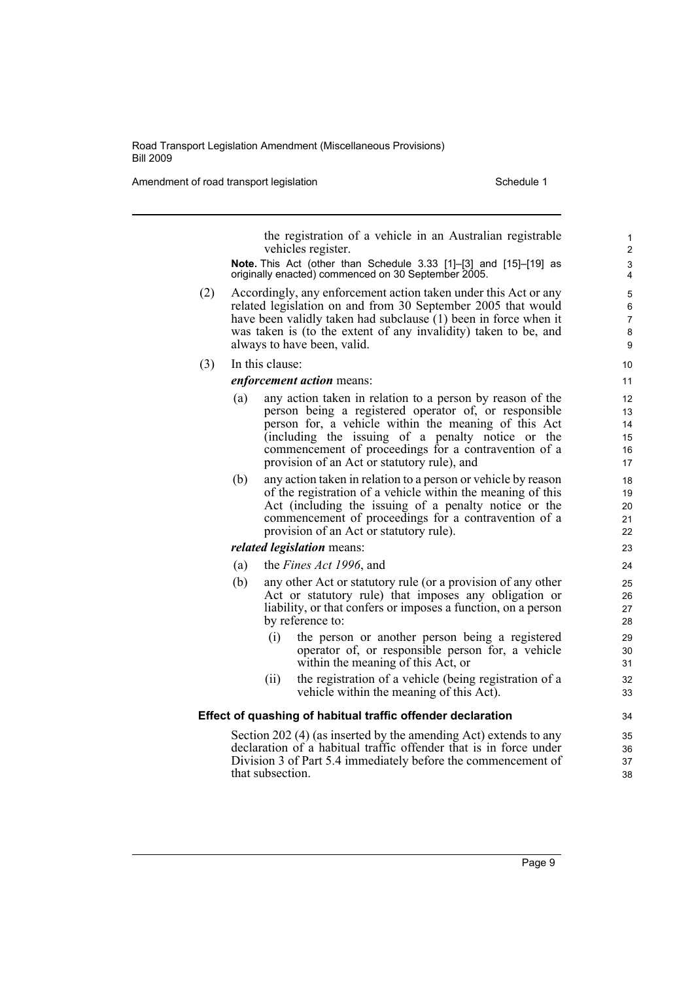Amendment of road transport legislation Schedule 1 Schedule 1

the registration of a vehicle in an Australian registrable vehicles register.

**Note.** This Act (other than Schedule 3.33 [1]–[3] and [15]–[19] as originally enacted) commenced on 30 September 2005.

- (2) Accordingly, any enforcement action taken under this Act or any related legislation on and from 30 September 2005 that would have been validly taken had subclause (1) been in force when it was taken is (to the extent of any invalidity) taken to be, and always to have been, valid.
- (3) In this clause:

### *enforcement action* means:

- (a) any action taken in relation to a person by reason of the person being a registered operator of, or responsible person for, a vehicle within the meaning of this Act (including the issuing of a penalty notice or the commencement of proceedings for a contravention of a provision of an Act or statutory rule), and
- (b) any action taken in relation to a person or vehicle by reason of the registration of a vehicle within the meaning of this Act (including the issuing of a penalty notice or the commencement of proceedings for a contravention of a provision of an Act or statutory rule).

### *related legislation* means:

- (a) the *Fines Act 1996*, and
- (b) any other Act or statutory rule (or a provision of any other Act or statutory rule) that imposes any obligation or liability, or that confers or imposes a function, on a person by reference to:
	- (i) the person or another person being a registered operator of, or responsible person for, a vehicle within the meaning of this Act, or
	- (ii) the registration of a vehicle (being registration of a vehicle within the meaning of this Act).

### **Effect of quashing of habitual traffic offender declaration**

Section 202 (4) (as inserted by the amending Act) extends to any declaration of a habitual traffic offender that is in force under Division 3 of Part 5.4 immediately before the commencement of that subsection.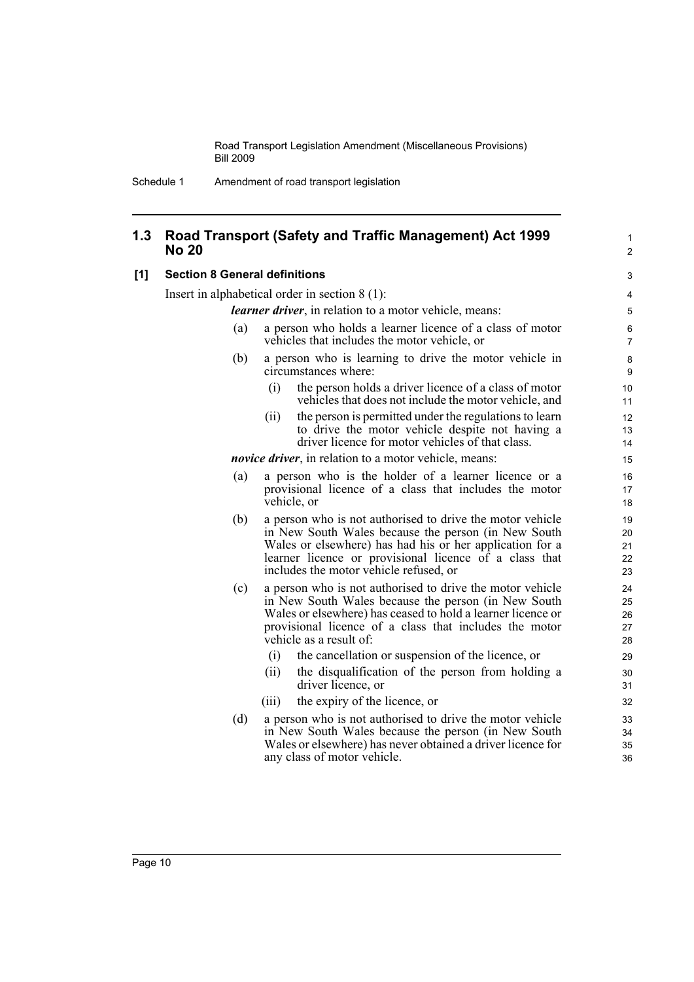## **1.3 Road Transport (Safety and Traffic Management) Act 1999 No 20**

### **[1] Section 8 General definitions**

Insert in alphabetical order in section 8 (1):

*learner driver*, in relation to a motor vehicle, means:

- (a) a person who holds a learner licence of a class of motor vehicles that includes the motor vehicle, or
- (b) a person who is learning to drive the motor vehicle in circumstances where:
	- (i) the person holds a driver licence of a class of motor vehicles that does not include the motor vehicle, and

1  $\overline{2}$ 

(ii) the person is permitted under the regulations to learn to drive the motor vehicle despite not having a driver licence for motor vehicles of that class.

*novice driver*, in relation to a motor vehicle, means:

- (a) a person who is the holder of a learner licence or a provisional licence of a class that includes the motor vehicle, or
- (b) a person who is not authorised to drive the motor vehicle in New South Wales because the person (in New South Wales or elsewhere) has had his or her application for a learner licence or provisional licence of a class that includes the motor vehicle refused, or
- (c) a person who is not authorised to drive the motor vehicle in New South Wales because the person (in New South Wales or elsewhere) has ceased to hold a learner licence or provisional licence of a class that includes the motor vehicle as a result of:
	- (i) the cancellation or suspension of the licence, or
	- (ii) the disqualification of the person from holding a driver licence, or
	- (iii) the expiry of the licence, or
- (d) a person who is not authorised to drive the motor vehicle in New South Wales because the person (in New South Wales or elsewhere) has never obtained a driver licence for any class of motor vehicle.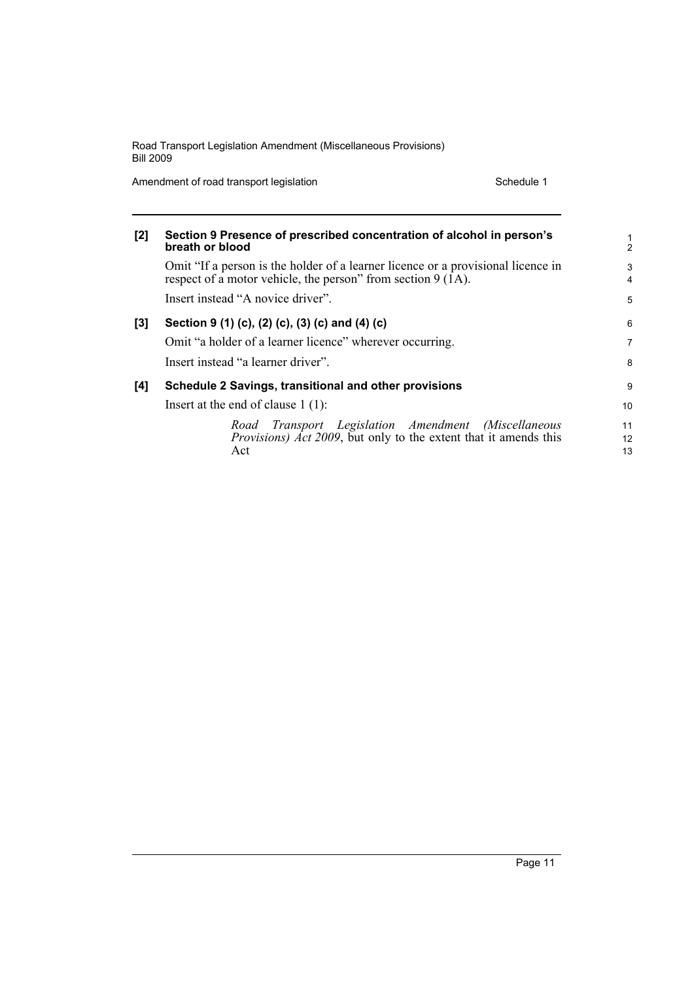Amendment of road transport legislation Schedule 1

| $[2]$ | Section 9 Presence of prescribed concentration of alcohol in person's<br>breath or blood                                                         | 1<br>$\mathfrak{p}$ |
|-------|--------------------------------------------------------------------------------------------------------------------------------------------------|---------------------|
|       | Omit "If a person is the holder of a learner licence or a provisional licence in<br>respect of a motor vehicle, the person" from section 9 (1A). | 3<br>4              |
|       | Insert instead "A novice driver".                                                                                                                | 5                   |
| $[3]$ | Section 9 (1) (c), (2) (c), (3) (c) and (4) (c)                                                                                                  | 6                   |
|       | Omit "a holder of a learner licence" wherever occurring.                                                                                         | $\overline{7}$      |
|       | Insert instead "a learner driver".                                                                                                               | 8                   |
| [4]   | Schedule 2 Savings, transitional and other provisions                                                                                            | 9                   |
|       | Insert at the end of clause $1(1)$ :                                                                                                             | 10 <sup>1</sup>     |
|       | Road Transport Legislation Amendment (Miscellaneous                                                                                              | 11                  |
|       | <i>Provisions) Act 2009</i> , but only to the extent that it amends this                                                                         | $12 \overline{ }$   |
|       | Act                                                                                                                                              | 13                  |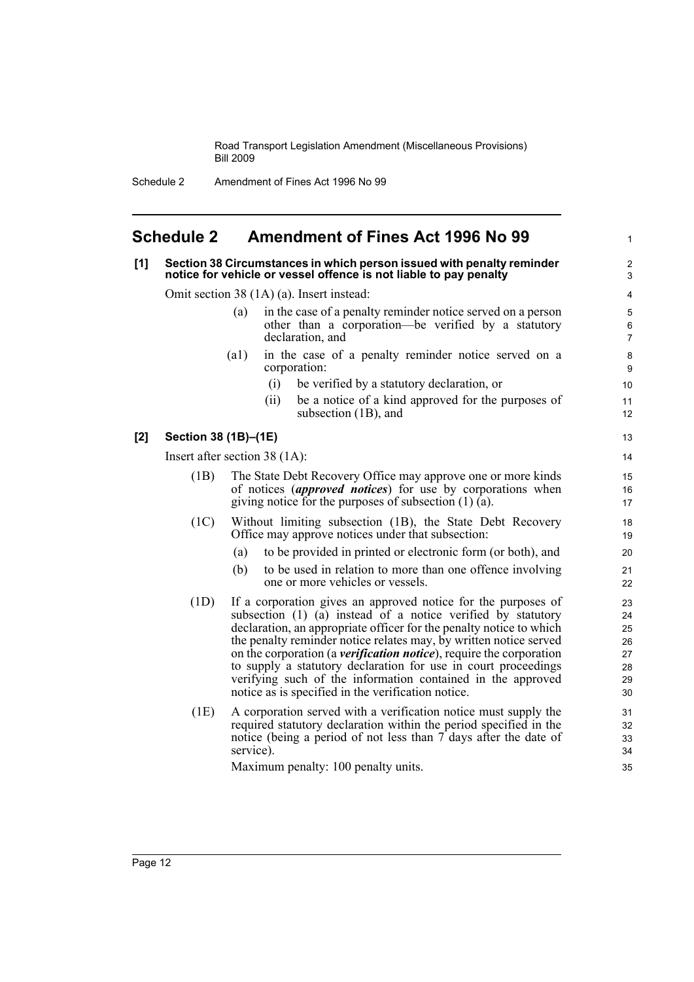Schedule 2 Amendment of Fines Act 1996 No 99

# <span id="page-19-0"></span>**Schedule 2 Amendment of Fines Act 1996 No 99**

# **[1] Section 38 Circumstances in which person issued with penalty reminder notice for vehicle or vessel offence is not liable to pay penalty** Omit section 38 (1A) (a). Insert instead: (a) in the case of a penalty reminder notice served on a person other than a corporation—be verified by a statutory declaration, and (a1) in the case of a penalty reminder notice served on a corporation:

- (i) be verified by a statutory declaration, or
- (ii) be a notice of a kind approved for the purposes of subsection (1B), and

1

## **[2] Section 38 (1B)–(1E)**

Insert after section 38 (1A):

- (1B) The State Debt Recovery Office may approve one or more kinds of notices (*approved notices*) for use by corporations when giving notice for the purposes of subsection  $(1)$   $(a)$ .
- (1C) Without limiting subsection (1B), the State Debt Recovery Office may approve notices under that subsection:
	- (a) to be provided in printed or electronic form (or both), and
	- (b) to be used in relation to more than one offence involving one or more vehicles or vessels.
- (1D) If a corporation gives an approved notice for the purposes of subsection (1) (a) instead of a notice verified by statutory declaration, an appropriate officer for the penalty notice to which the penalty reminder notice relates may, by written notice served on the corporation (a *verification notice*), require the corporation to supply a statutory declaration for use in court proceedings verifying such of the information contained in the approved notice as is specified in the verification notice.
- (1E) A corporation served with a verification notice must supply the required statutory declaration within the period specified in the notice (being a period of not less than  $\overline{\tau}$  days after the date of service).

Maximum penalty: 100 penalty units.